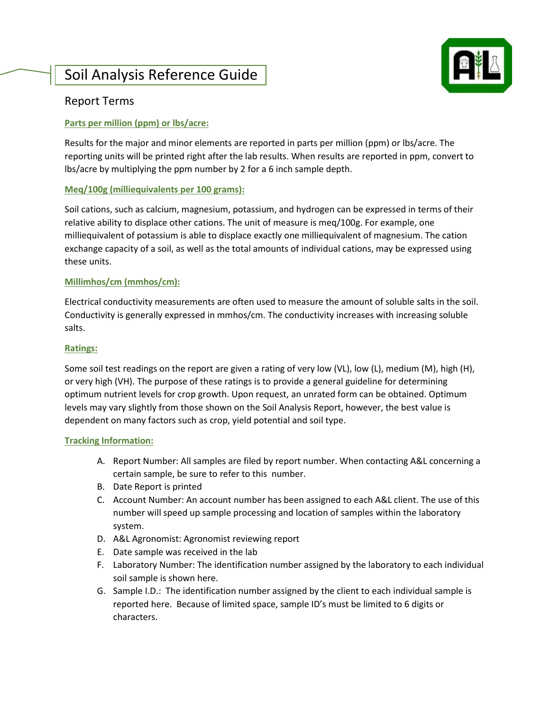# Soil Analysis Reference Guide



# Report Terms

## **Parts per million (ppm) or lbs/acre:**

Results for the major and minor elements are reported in parts per million (ppm) or lbs/acre. The reporting units will be printed right after the lab results. When results are reported in ppm, convert to lbs/acre by multiplying the ppm number by 2 for a 6 inch sample depth.

### **Meq/100g (milliequivalents per 100 grams):**

Soil cations, such as calcium, magnesium, potassium, and hydrogen can be expressed in terms of their relative ability to displace other cations. The unit of measure is meq/100g. For example, one milliequivalent of potassium is able to displace exactly one milliequivalent of magnesium. The cation exchange capacity of a soil, as well as the total amounts of individual cations, may be expressed using these units.

### **Millimhos/cm (mmhos/cm):**

Electrical conductivity measurements are often used to measure the amount of soluble salts in the soil. Conductivity is generally expressed in mmhos/cm. The conductivity increases with increasing soluble salts.

#### **Ratings:**

Some soil test readings on the report are given a rating of very low (VL), low (L), medium (M), high (H), or very high (VH). The purpose of these ratings is to provide a general guideline for determining optimum nutrient levels for crop growth. Upon request, an unrated form can be obtained. Optimum levels may vary slightly from those shown on the Soil Analysis Report, however, the best value is dependent on many factors such as crop, yield potential and soil type.

#### **Tracking Information:**

- A. Report Number: All samples are filed by report number. When contacting A&L concerning a certain sample, be sure to refer to this number.
- B. Date Report is printed
- C. Account Number: An account number has been assigned to each A&L client. The use of this number will speed up sample processing and location of samples within the laboratory system.
- D. A&L Agronomist: Agronomist reviewing report
- E. Date sample was received in the lab
- F. Laboratory Number: The identification number assigned by the laboratory to each individual soil sample is shown here.
- G. Sample I.D.: The identification number assigned by the client to each individual sample is reported here. Because of limited space, sample ID's must be limited to 6 digits or characters.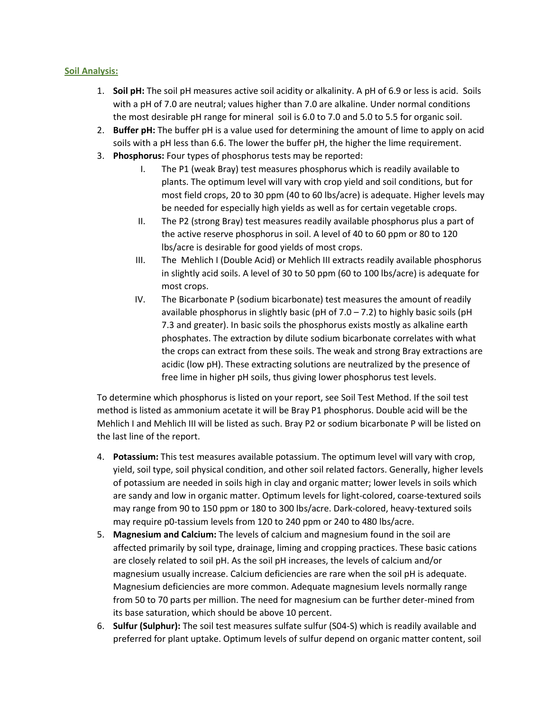#### **Soil Analysis:**

- 1. **Soil pH:** The soil pH measures active soil acidity or alkalinity. A pH of 6.9 or less is acid. Soils with a pH of 7.0 are neutral; values higher than 7.0 are alkaline. Under normal conditions the most desirable pH range for mineral soil is 6.0 to 7.0 and 5.0 to 5.5 for organic soil.
- 2. **Buffer pH:** The buffer pH is a value used for determining the amount of lime to apply on acid soils with a pH less than 6.6. The lower the buffer pH, the higher the lime requirement.
- 3. **Phosphorus:** Four types of phosphorus tests may be reported:
	- I. The P1 (weak Bray) test measures phosphorus which is readily available to plants. The optimum level will vary with crop yield and soil conditions, but for most field crops, 20 to 30 ppm (40 to 60 lbs/acre) is adequate. Higher levels may be needed for especially high yields as well as for certain vegetable crops.
	- II. The P2 (strong Bray) test measures readily available phosphorus plus a part of the active reserve phosphorus in soil. A level of 40 to 60 ppm or 80 to 120 lbs/acre is desirable for good yields of most crops.
	- III. The Mehlich I (Double Acid) or Mehlich III extracts readily available phosphorus in slightly acid soils. A level of 30 to 50 ppm (60 to 100 lbs/acre) is adequate for most crops.
	- IV. The Bicarbonate P (sodium bicarbonate) test measures the amount of readily available phosphorus in slightly basic (pH of  $7.0 - 7.2$ ) to highly basic soils (pH 7.3 and greater). In basic soils the phosphorus exists mostly as alkaline earth phosphates. The extraction by dilute sodium bicarbonate correlates with what the crops can extract from these soils. The weak and strong Bray extractions are acidic (low pH). These extracting solutions are neutralized by the presence of free lime in higher pH soils, thus giving lower phosphorus test levels.

To determine which phosphorus is listed on your report, see Soil Test Method. If the soil test method is listed as ammonium acetate it will be Bray P1 phosphorus. Double acid will be the Mehlich I and Mehlich III will be listed as such. Bray P2 or sodium bicarbonate P will be listed on the last line of the report.

- 4. **Potassium:** This test measures available potassium. The optimum level will vary with crop, yield, soil type, soil physical condition, and other soil related factors. Generally, higher levels of potassium are needed in soils high in clay and organic matter; lower levels in soils which are sandy and low in organic matter. Optimum levels for light-colored, coarse-textured soils may range from 90 to 150 ppm or 180 to 300 lbs/acre. Dark-colored, heavy-textured soils may require p0-tassium levels from 120 to 240 ppm or 240 to 480 lbs/acre.
- 5. **Magnesium and Calcium:** The levels of calcium and magnesium found in the soil are affected primarily by soil type, drainage, liming and cropping practices. These basic cations are closely related to soil pH. As the soil pH increases, the levels of calcium and/or magnesium usually increase. Calcium deficiencies are rare when the soil pH is adequate. Magnesium deficiencies are more common. Adequate magnesium levels normally range from 50 to 70 parts per million. The need for magnesium can be further deter-mined from its base saturation, which should be above 10 percent.
- 6. **Sulfur (Sulphur):** The soil test measures sulfate sulfur (S04-S) which is readily available and preferred for plant uptake. Optimum levels of sulfur depend on organic matter content, soil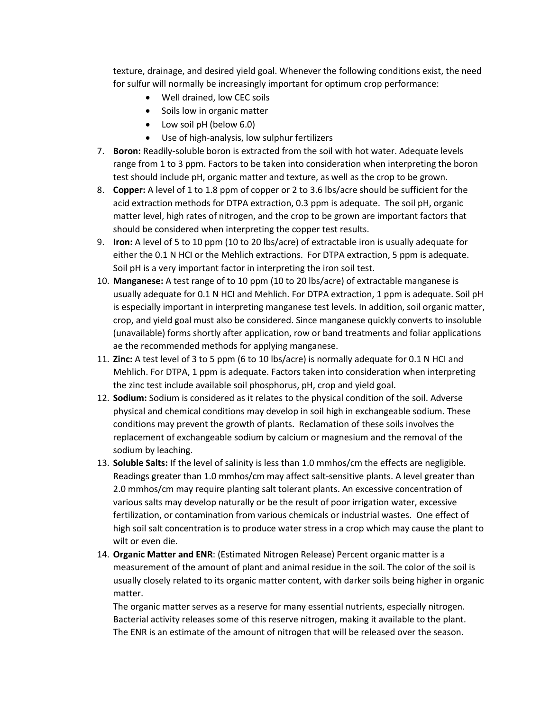texture, drainage, and desired yield goal. Whenever the following conditions exist, the need for sulfur will normally be increasingly important for optimum crop performance:

- Well drained, low CEC soils
- Soils low in organic matter
- Low soil pH (below 6.0)
- Use of high-analysis, low sulphur fertilizers
- 7. **Boron:** Readily-soluble boron is extracted from the soil with hot water. Adequate levels range from 1 to 3 ppm. Factors to be taken into consideration when interpreting the boron test should include pH, organic matter and texture, as well as the crop to be grown.
- 8. **Copper:** A level of 1 to 1.8 ppm of copper or 2 to 3.6 lbs/acre should be sufficient for the acid extraction methods for DTPA extraction, 0.3 ppm is adequate. The soil pH, organic matter level, high rates of nitrogen, and the crop to be grown are important factors that should be considered when interpreting the copper test results.
- 9. **Iron:** A level of 5 to 10 ppm (10 to 20 lbs/acre) of extractable iron is usually adequate for either the 0.1 N HCI or the Mehlich extractions. For DTPA extraction, 5 ppm is adequate. Soil pH is a very important factor in interpreting the iron soil test.
- 10. **Manganese:** A test range of to 10 ppm (10 to 20 lbs/acre) of extractable manganese is usually adequate for 0.1 N HCI and Mehlich. For DTPA extraction, 1 ppm is adequate. Soil pH is especially important in interpreting manganese test levels. In addition, soil organic matter, crop, and yield goal must also be considered. Since manganese quickly converts to insoluble (unavailable) forms shortly after application, row or band treatments and foliar applications ae the recommended methods for applying manganese.
- 11. **Zinc:** A test level of 3 to 5 ppm (6 to 10 lbs/acre) is normally adequate for 0.1 N HCI and Mehlich. For DTPA, 1 ppm is adequate. Factors taken into consideration when interpreting the zinc test include available soil phosphorus, pH, crop and yield goal.
- 12. **Sodium:** Sodium is considered as it relates to the physical condition of the soil. Adverse physical and chemical conditions may develop in soil high in exchangeable sodium. These conditions may prevent the growth of plants. Reclamation of these soils involves the replacement of exchangeable sodium by calcium or magnesium and the removal of the sodium by leaching.
- 13. **Soluble Salts:** If the level of salinity is less than 1.0 mmhos/cm the effects are negligible. Readings greater than 1.0 mmhos/cm may affect salt-sensitive plants. A level greater than 2.0 mmhos/cm may require planting salt tolerant plants. An excessive concentration of various salts may develop naturally or be the result of poor irrigation water, excessive fertilization, or contamination from various chemicals or industrial wastes. One effect of high soil salt concentration is to produce water stress in a crop which may cause the plant to wilt or even die.
- 14. **Organic Matter and ENR**: (Estimated Nitrogen Release) Percent organic matter is a measurement of the amount of plant and animal residue in the soil. The color of the soil is usually closely related to its organic matter content, with darker soils being higher in organic matter.

The organic matter serves as a reserve for many essential nutrients, especially nitrogen. Bacterial activity releases some of this reserve nitrogen, making it available to the plant. The ENR is an estimate of the amount of nitrogen that will be released over the season.